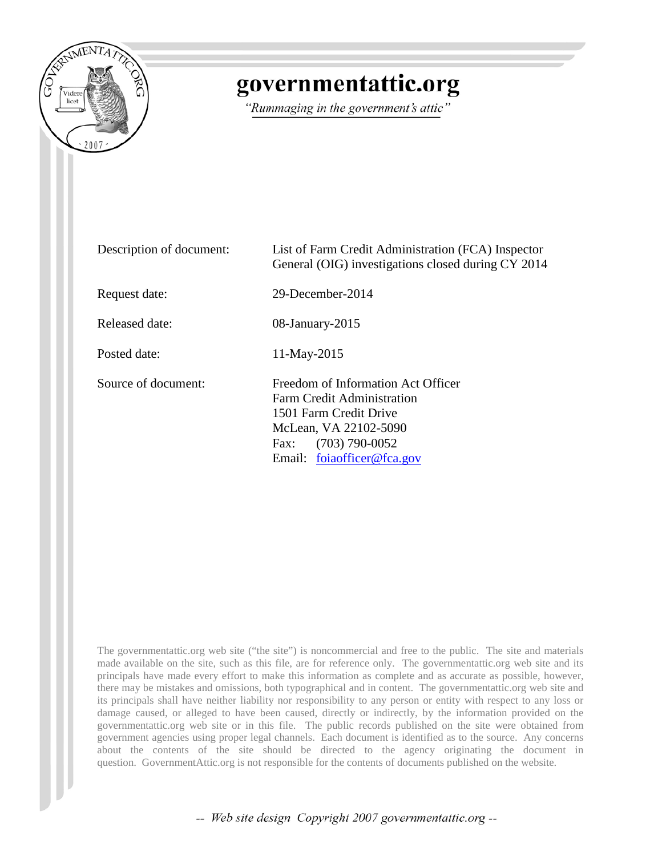

## governmentattic.org

"Rummaging in the government's attic"

| Description of document: | List of Farm Credit Administration (FCA) Inspector<br>General (OIG) investigations closed during CY 2014                                                                      |  |  |  |
|--------------------------|-------------------------------------------------------------------------------------------------------------------------------------------------------------------------------|--|--|--|
| Request date:            | 29-December-2014                                                                                                                                                              |  |  |  |
| Released date:           | $08$ -January-2015                                                                                                                                                            |  |  |  |
| Posted date:             | $11-May-2015$                                                                                                                                                                 |  |  |  |
| Source of document:      | Freedom of Information Act Officer<br>Farm Credit Administration<br>1501 Farm Credit Drive<br>McLean, VA 22102-5090<br>$(703)$ 790-0052<br>Fax:<br>Email: foiaofficer@fca.gov |  |  |  |

The governmentattic.org web site ("the site") is noncommercial and free to the public. The site and materials made available on the site, such as this file, are for reference only. The governmentattic.org web site and its principals have made every effort to make this information as complete and as accurate as possible, however, there may be mistakes and omissions, both typographical and in content. The governmentattic.org web site and its principals shall have neither liability nor responsibility to any person or entity with respect to any loss or damage caused, or alleged to have been caused, directly or indirectly, by the information provided on the governmentattic.org web site or in this file. The public records published on the site were obtained from government agencies using proper legal channels. Each document is identified as to the source. Any concerns about the contents of the site should be directed to the agency originating the document in question. GovernmentAttic.org is not responsible for the contents of documents published on the website.

-- Web site design Copyright 2007 governmentattic.org --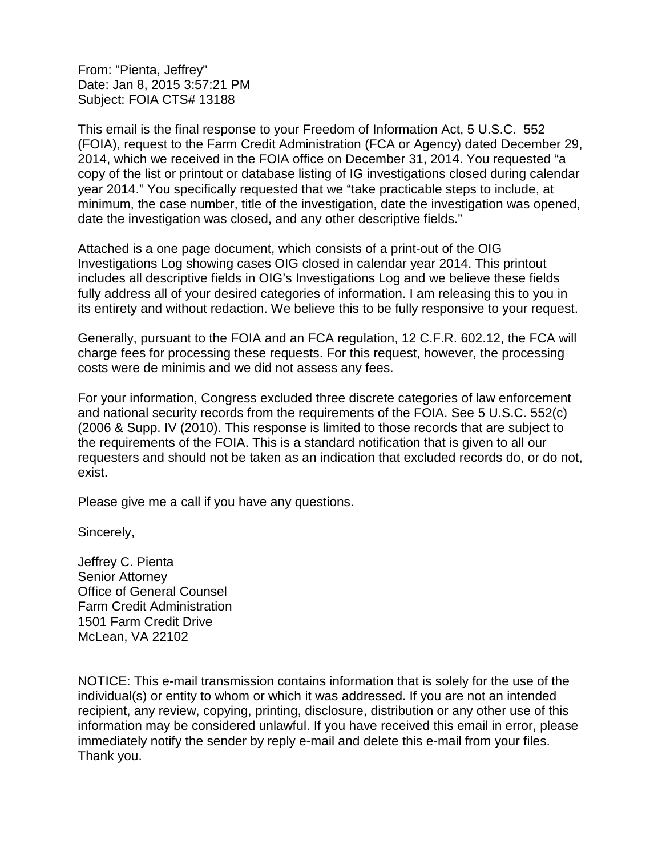From: "Pienta, Jeffrey" Date: Jan 8, 2015 3:57:21 PM Subject: FOIA CTS# 13188

This email is the final response to your Freedom of Information Act, 5 U.S.C. 552 (FOIA), request to the Farm Credit Administration (FCA or Agency) dated December 29, 2014, which we received in the FOIA office on December 31, 2014. You requested "a copy of the list or printout or database listing of IG investigations closed during calendar year 2014." You specifically requested that we "take practicable steps to include, at minimum, the case number, title of the investigation, date the investigation was opened, date the investigation was closed, and any other descriptive fields."

Attached is a one page document, which consists of a print-out of the OIG Investigations Log showing cases OIG closed in calendar year 2014. This printout includes all descriptive fields in OIG's Investigations Log and we believe these fields fully address all of your desired categories of information. I am releasing this to you in its entirety and without redaction. We believe this to be fully responsive to your request.

Generally, pursuant to the FOIA and an FCA regulation, 12 C.F.R. 602.12, the FCA will charge fees for processing these requests. For this request, however, the processing costs were de minimis and we did not assess any fees.

For your information, Congress excluded three discrete categories of law enforcement and national security records from the requirements of the FOIA. See 5 U.S.C. 552(c) (2006 & Supp. IV (2010). This response is limited to those records that are subject to the requirements of the FOIA. This is a standard notification that is given to all our requesters and should not be taken as an indication that excluded records do, or do not, exist.

Please give me a call if you have any questions.

Sincerely,

Jeffrey C. Pienta Senior Attorney Office of General Counsel Farm Credit Administration 1501 Farm Credit Drive McLean, VA 22102

NOTICE: This e-mail transmission contains information that is solely for the use of the individual(s) or entity to whom or which it was addressed. If you are not an intended recipient, any review, copying, printing, disclosure, distribution or any other use of this information may be considered unlawful. If you have received this email in error, please immediately notify the sender by reply e-mail and delete this e-mail from your files. Thank you.